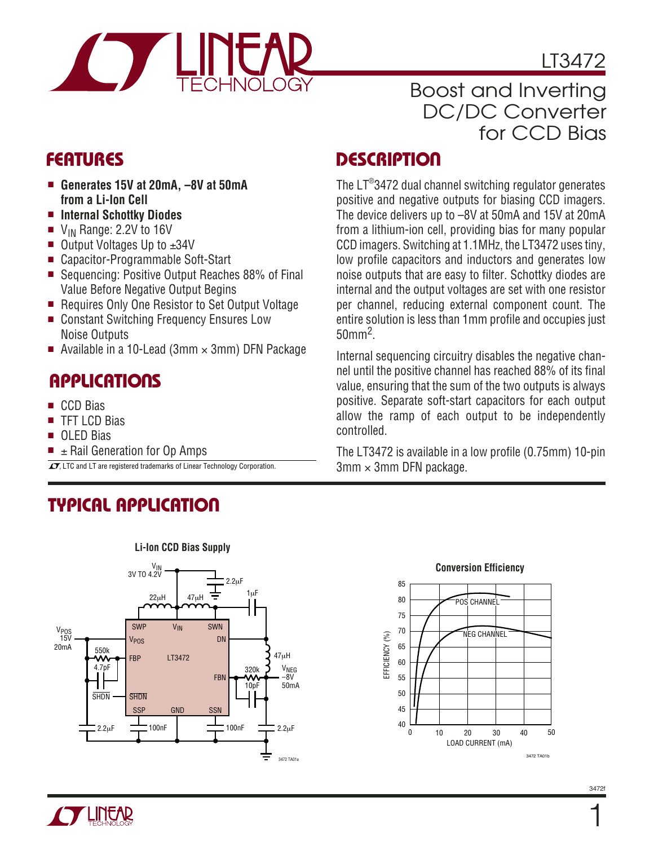

LT3472

### Boost and Inverting DC/DC Converter for CCD Bias

- **Generates 15V at 20mA, –8V at 50mA from a Li-Ion Cell**
- **Internal Schottky Diodes**
- $\blacksquare$  V<sub>IN</sub> Range: 2.2V to 16V
- Output Voltages Up to ±34V
- Capacitor-Programmable Soft-Start
- Sequencing: Positive Output Reaches 88% of Final Value Before Negative Output Begins
- Requires Only One Resistor to Set Output Voltage
- Constant Switching Frequency Ensures Low Noise Outputs
- Available in a 10-Lead (3mm  $\times$  3mm) DFN Package

### **APPLICATIONS**

- CCD Bias
- TFT LCD Bias
- OLED Bias
- $\pm$  Rail Generation for Op Amps

 $\overline{\mathcal{I}}$ , LTC and LT are registered trademarks of Linear Technology Corporation.  $3\text{mm} \times 3\text{mm}$  DFN package.

# **TYPICAL APPLICATION**



**FEATURES DESCRIPTIO U**

The LT® 3472 dual channel switching regulator generates positive and negative outputs for biasing CCD imagers. The device delivers up to –8V at 50mA and 15V at 20mA from a lithium-ion cell, providing bias for many popular CCD imagers. Switching at 1.1MHz, the LT3472 uses tiny, low profile capacitors and inductors and generates low noise outputs that are easy to filter. Schottky diodes are internal and the output voltages are set with one resistor per channel, reducing external component count. The entire solution is less than 1mm profile and occupies just 50mm2.

Internal sequencing circuitry disables the negative channel until the positive channel has reached 88% of its final value, ensuring that the sum of the two outputs is always positive. Separate soft-start capacitors for each output allow the ramp of each output to be independently controlled.

The LT3472 is available in a low profile (0.75mm) 10-pin



#### 3472f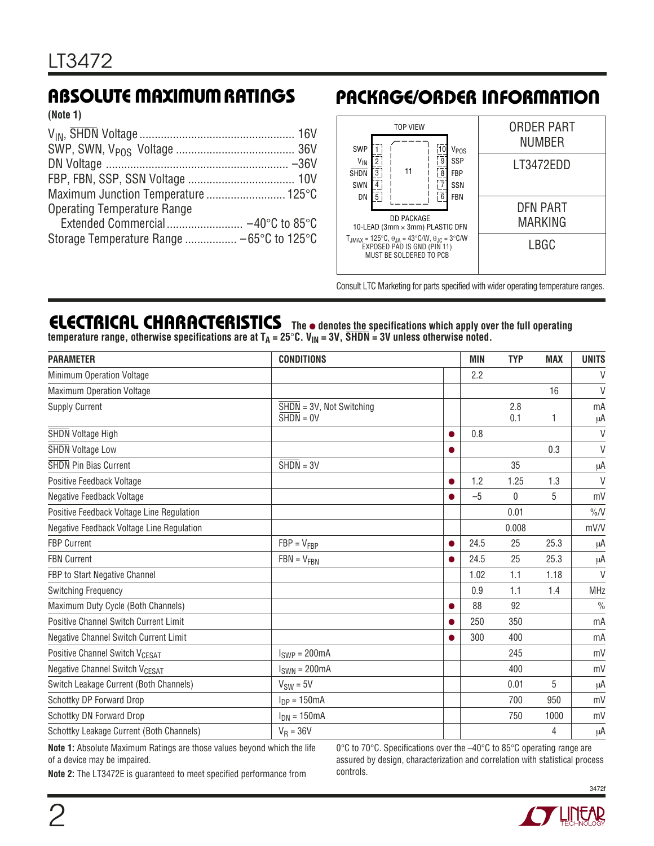**(Note 1)**

### **ABSOLUTE MAXIMUM RATINGS PACKAGE/ORDER INFORMATION**



Consult LTC Marketing for parts specified with wider operating temperature ranges.

#### **ELECTRICAL CHARACTERISTICS The** ● **denotes the specifications which apply over the full operating** temperature range, otherwise specifications are at T<sub>A</sub> = 25°C. V<sub>IN</sub> = 3V, SHDN = 3V unless otherwise noted.

| <b>PARAMETER</b>                           | <b>CONDITIONS</b>                                            |           | <b>MIN</b> | <b>TYP</b>   | <b>MAX</b> | <b>UNITS</b>  |
|--------------------------------------------|--------------------------------------------------------------|-----------|------------|--------------|------------|---------------|
| Minimum Operation Voltage                  |                                                              |           | 2.2        |              |            | $\vee$        |
| <b>Maximum Operation Voltage</b>           |                                                              |           |            |              | 16         | $\vee$        |
| <b>Supply Current</b>                      | $\overline{\text{SHDN}} = 3V$ , Not Switching<br>$SHDN = OV$ |           |            | 2.8<br>0.1   | 1          | mA<br>μA      |
| <b>SHDN</b> Voltage High                   |                                                              | ●         | 0.8        |              |            | $\vee$        |
| <b>SHDN</b> Voltage Low                    |                                                              | 0         |            |              | 0.3        | $\vee$        |
| <b>SHDN</b> Pin Bias Current               | $\overline{\text{SHDN}} = 3V$                                |           |            | 35           |            | μA            |
| Positive Feedback Voltage                  |                                                              | $\bullet$ | 1.2        | 1.25         | 1.3        | $\vee$        |
| Negative Feedback Voltage                  |                                                              |           | $-5$       | $\mathbf{0}$ | 5          | mV            |
| Positive Feedback Voltage Line Regulation  |                                                              |           |            | 0.01         |            | $\%$ /V       |
| Negative Feedback Voltage Line Regulation  |                                                              |           |            | 0.008        |            | mV/V          |
| <b>FBP Current</b>                         | $FBP = V_{FBP}$                                              | $\bullet$ | 24.5       | 25           | 25.3       | μA            |
| <b>FBN Current</b>                         | $FBN = V_{FBN}$                                              | $\bullet$ | 24.5       | 25           | 25.3       | μA            |
| FBP to Start Negative Channel              |                                                              |           | 1.02       | 1.1          | 1.18       | $\vee$        |
| <b>Switching Frequency</b>                 |                                                              |           | 0.9        | 1.1          | 1.4        | <b>MHz</b>    |
| Maximum Duty Cycle (Both Channels)         |                                                              | 0         | 88         | 92           |            | $\frac{0}{0}$ |
| Positive Channel Switch Current Limit      |                                                              | $\bullet$ | 250        | 350          |            | mA            |
| Negative Channel Switch Current Limit      |                                                              | ●         | 300        | 400          |            | mA            |
| Positive Channel Switch V <sub>CESAT</sub> | $ISWP = 200mA$                                               |           |            | 245          |            | mV            |
| Negative Channel Switch V <sub>CESAT</sub> | $I_{SWN} = 200mA$                                            |           |            | 400          |            | mV            |
| Switch Leakage Current (Both Channels)     | $V_{SW} = 5V$                                                |           |            | 0.01         | 5          | μA            |
| Schottky DP Forward Drop                   | $I_{DP} = 150mA$                                             |           |            | 700          | 950        | mV            |
| Schottky DN Forward Drop                   | $I_{DN} = 150mA$                                             |           |            | 750          | 1000       | mV            |
| Schottky Leakage Current (Both Channels)   | $V_R = 36V$                                                  |           |            |              | 4          | μA            |

**Note 1:** Absolute Maximum Ratings are those values beyond which the life of a device may be impaired.

0°C to 70°C. Specifications over the –40°C to 85°C operating range are assured by design, characterization and correlation with statistical process controls.

**Note 2:** The LT3472E is guaranteed to meet specified performance from

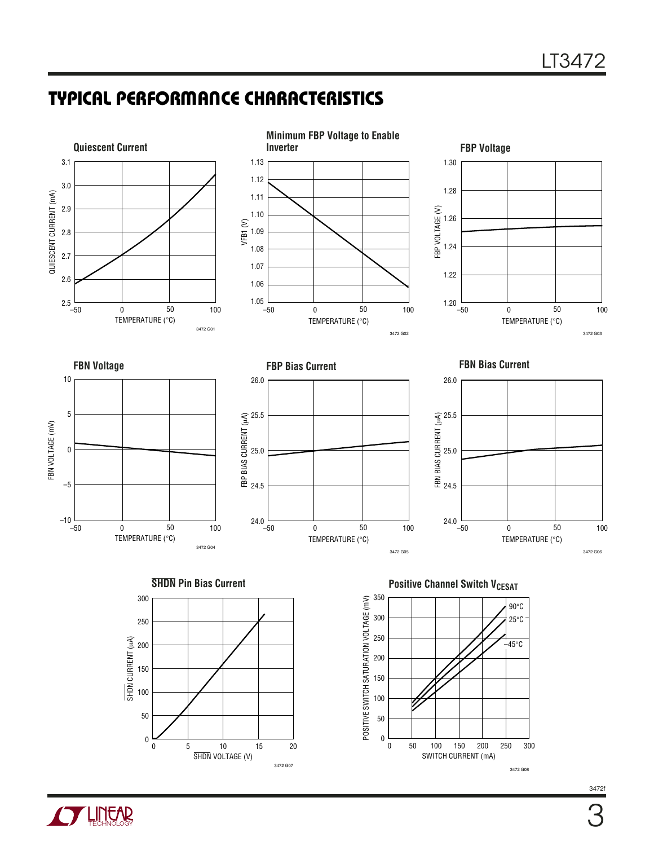# **TYPICAL PERFORMANCE CHARACTERISTICS**



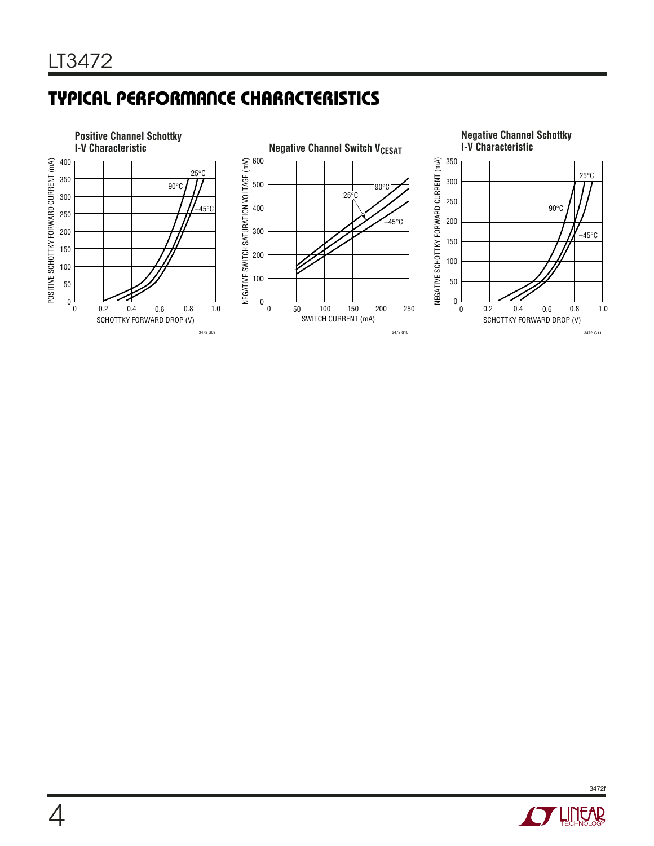# **TYPICAL PERFORMANCE CHARACTERISTICS**





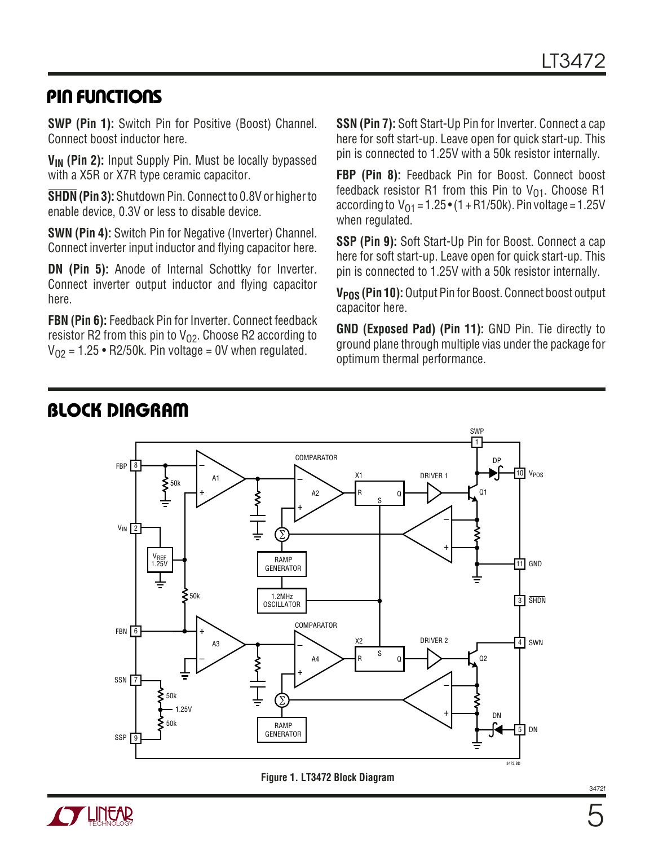### **PIN FUNCTIONS**

**SWP (Pin 1):** Switch Pin for Positive (Boost) Channel. Connect boost inductor here.

V<sub>IN</sub> (Pin 2): Input Supply Pin. Must be locally bypassed with a X5R or X7R type ceramic capacitor.

**SHDN (Pin 3):** Shutdown Pin. Connect to 0.8V or higher to enable device, 0.3V or less to disable device.

**SWN (Pin 4):** Switch Pin for Negative (Inverter) Channel. Connect inverter input inductor and flying capacitor here.

**DN (Pin 5):** Anode of Internal Schottky for Inverter. Connect inverter output inductor and flying capacitor here.

**FBN (Pin 6):** Feedback Pin for Inverter. Connect feedback resistor R2 from this pin to  $V_{O2}$ . Choose R2 according to  $V_{02}$  = 1.25 • R2/50k. Pin voltage = 0V when regulated.

**SSN (Pin 7):** Soft Start-Up Pin for Inverter. Connect a cap here for soft start-up. Leave open for quick start-up. This pin is connected to 1.25V with a 50k resistor internally.

**FBP (Pin 8):** Feedback Pin for Boost. Connect boost feedback resistor R1 from this Pin to  $V_{01}$ . Choose R1 according to  $V_{01} = 1.25 \cdot (1 + R1/50k)$ . Pin voltage = 1.25V when regulated.

**SSP (Pin 9):** Soft Start-Up Pin for Boost. Connect a cap here for soft start-up. Leave open for quick start-up. This pin is connected to 1.25V with a 50k resistor internally.

**VPOS (Pin 10):** Output Pin for Boost. Connect boost output capacitor here.

**GND (Exposed Pad) (Pin 11):** GND Pin. Tie directly to ground plane through multiple vias under the package for optimum thermal performance.





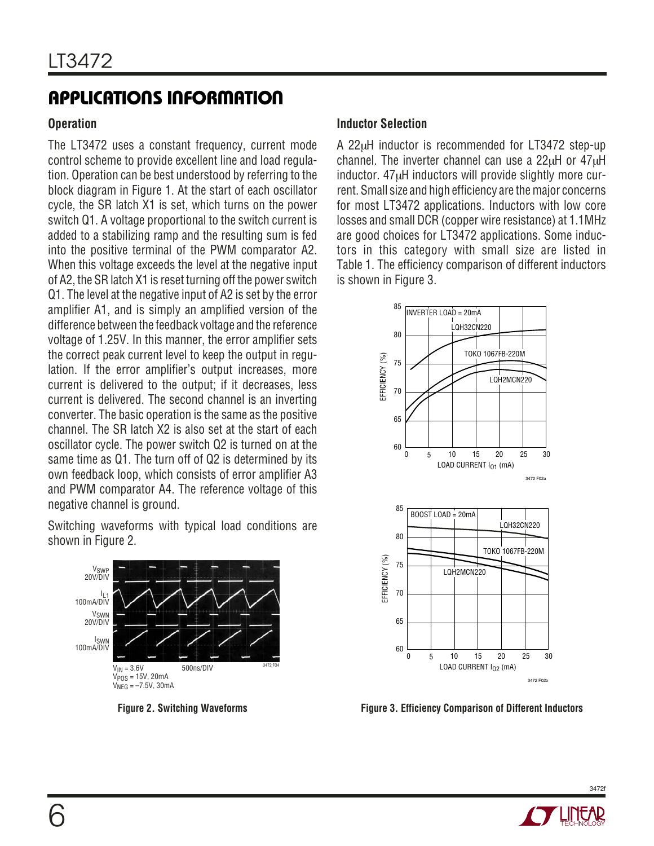#### **Operation**

The LT3472 uses a constant frequency, current mode control scheme to provide excellent line and load regulation. Operation can be best understood by referring to the block diagram in Figure 1. At the start of each oscillator cycle, the SR latch X1 is set, which turns on the power switch Q1. A voltage proportional to the switch current is added to a stabilizing ramp and the resulting sum is fed into the positive terminal of the PWM comparator A2. When this voltage exceeds the level at the negative input of A2, the SR latch X1 is reset turning off the power switch Q1. The level at the negative input of A2 is set by the error amplifier A1, and is simply an amplified version of the difference between the feedback voltage and the reference voltage of 1.25V. In this manner, the error amplifier sets the correct peak current level to keep the output in regulation. If the error amplifier's output increases, more current is delivered to the output; if it decreases, less current is delivered. The second channel is an inverting converter. The basic operation is the same as the positive channel. The SR latch X2 is also set at the start of each oscillator cycle. The power switch Q2 is turned on at the same time as Q1. The turn off of Q2 is determined by its own feedback loop, which consists of error amplifier A3 and PWM comparator A4. The reference voltage of this negative channel is ground.

Switching waveforms with typical load conditions are shown in Figure 2.



**Figure 2. Switching Waveforms**

#### **Inductor Selection**

A 22µH inductor is recommended for LT3472 step-up channel. The inverter channel can use a 22µH or 47µH inductor. 47µH inductors will provide slightly more current. Small size and high efficiency are the major concerns for most LT3472 applications. Inductors with low core losses and small DCR (copper wire resistance) at 1.1MHz are good choices for LT3472 applications. Some inductors in this category with small size are listed in Table 1. The efficiency comparison of different inductors is shown in Figure 3.



**Figure 3. Efficiency Comparison of Different Inductors**

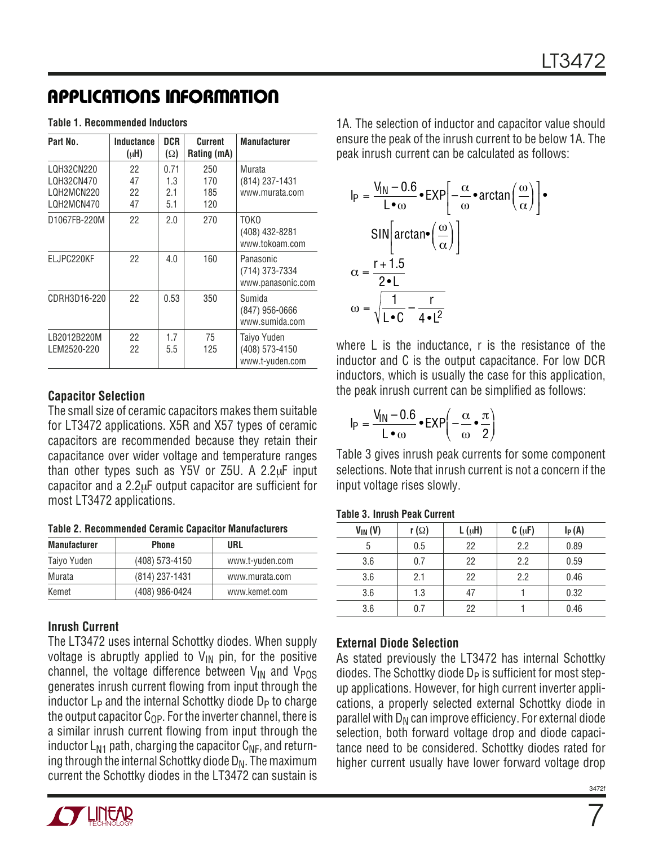|  |  |  | Table 1. Recommended Inductors |  |
|--|--|--|--------------------------------|--|
|--|--|--|--------------------------------|--|

| Part No.                                             | Inductance<br>$(\mu H)$ | <b>DCR</b><br>$(\Omega)$  | Current<br>Rating (mA)   | <b>Manufacturer</b>                              |
|------------------------------------------------------|-------------------------|---------------------------|--------------------------|--------------------------------------------------|
| LQH32CN220<br>LQH32CN470<br>LQH2MCN220<br>LQH2MCN470 | 22<br>47<br>22<br>47    | 0.71<br>1.3<br>2.1<br>5.1 | 250<br>170<br>185<br>120 | Murata<br>(814) 237-1431<br>www.murata.com       |
| D1067FB-220M                                         | 22                      | 2.0                       | 270                      | T0K0<br>(408) 432-8281<br>www.tokoam.com         |
| ELJPC220KF                                           | 22                      | 4.0                       | 160                      | Panasonic<br>(714) 373-7334<br>www.panasonic.com |
| CDRH3D16-220                                         | 22                      | 0.53                      | 350                      | Sumida<br>(847) 956-0666<br>www.sumida.com       |
| LB2012B220M<br>LEM2520-220                           | 22<br>22                | 1.7<br>5.5                | 75<br>125                | Taiyo Yuden<br>(408) 573-4150<br>www.t-yuden.com |

#### **Capacitor Selection**

The small size of ceramic capacitors makes them suitable for LT3472 applications. X5R and X57 types of ceramic capacitors are recommended because they retain their capacitance over wider voltage and temperature ranges than other types such as  $Y5V$  or  $Z5U$ . A  $2.2\mu$ F input capacitor and a 2.2µF output capacitor are sufficient for most LT3472 applications.

| <b>Table 2. Recommended Ceramic Capacitor Manufacturers</b> |
|-------------------------------------------------------------|
|-------------------------------------------------------------|

| <b>Manufacturer</b> | <b>Phone</b>     | URL             |
|---------------------|------------------|-----------------|
| Taiyo Yuden         | $(408)$ 573-4150 | www.t-yuden.com |
| Murata              | $(814)$ 237-1431 | www.murata.com  |
| Kemet               | (408) 986-0424   | www.kemet.com   |

#### **Inrush Current**

The LT3472 uses internal Schottky diodes. When supply voltage is abruptly applied to  $V_{\text{IN}}$  pin, for the positive channel, the voltage difference between  $V_{IN}$  and  $V_{POS}$ generates inrush current flowing from input through the inductor  $L_p$  and the internal Schottky diode  $D_p$  to charge the output capacitor  $C_{OP}$ . For the inverter channel, there is a similar inrush current flowing from input through the inductor  $L_{N1}$  path, charging the capacitor  $C_{NF}$ , and returning through the internal Schottky diode  $D_N$ . The maximum current the Schottky diodes in the LT3472 can sustain is



1A. The selection of inductor and capacitor value should ensure the peak of the inrush current to be below 1A. The peak inrush current can be calculated as follows:

$$
I_{P} = \frac{V_{IN} - 0.6}{L \cdot \omega} \cdot EXP\left[-\frac{\alpha}{\omega} \cdot \arctan\left(\frac{\omega}{\alpha}\right)\right] \cdot
$$
  
\n
$$
SIN\left[\arctan\left(\frac{\omega}{\alpha}\right)\right]
$$
  
\n
$$
\alpha = \frac{r + 1.5}{2 \cdot L}
$$
  
\n
$$
\omega = \sqrt{\frac{1}{L \cdot C} - \frac{r}{4 \cdot L^{2}}}
$$

where L is the inductance, r is the resistance of the inductor and C is the output capacitance. For low DCR inductors, which is usually the case for this application, the peak inrush current can be simplified as follows:

$$
I_P = \frac{V_{IN} - 0.6}{L \cdot \omega} \cdot EXP\left(-\frac{\alpha}{\omega} \cdot \frac{\pi}{2}\right)
$$

Table 3 gives inrush peak currents for some component selections. Note that inrush current is not a concern if the input voltage rises slowly.

| $V_{IN} (V)$ | r ( $\Omega$ ) | $L(\mu H)$ | $C(\mu F)$ | $I_P(A)$ |
|--------------|----------------|------------|------------|----------|
| 5            | 0.5            | 22         | 2.2        | 0.89     |
| 3.6          | 0.7            | 22         | 2.2        | 0.59     |
| 3.6          | 2.1            | 22         | 2.2        | 0.46     |
| 3.6          | 1.3            | 47         |            | 0.32     |
| 3.6          | 0.7            | 22         |            | 0.46     |

#### **External Diode Selection**

As stated previously the LT3472 has internal Schottky diodes. The Schottky diode  $D_P$  is sufficient for most stepup applications. However, for high current inverter applications, a properly selected external Schottky diode in parallel with  $D_N$  can improve efficiency. For external diode selection, both forward voltage drop and diode capacitance need to be considered. Schottky diodes rated for higher current usually have lower forward voltage drop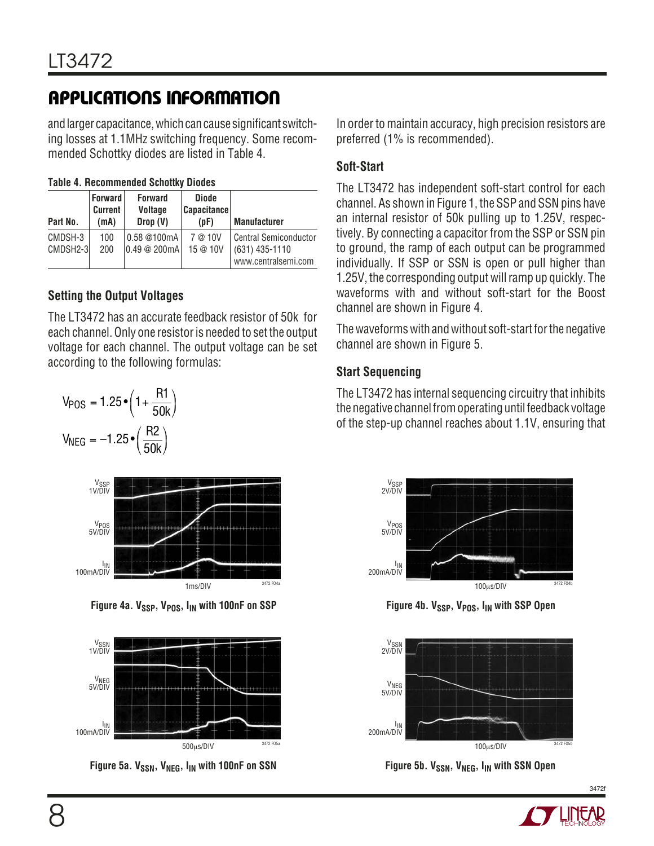and larger capacitance, which can cause significant switching losses at 1.1MHz switching frequency. Some recommended Schottky diodes are listed in Table 4.

| Part No.            | <b>Forward</b><br><b>Current</b><br>(mA) | <b>Forward</b><br><b>Voltage</b><br>Drop(V) | Diode<br><b>Capacitance</b><br>(pF) | <b>Manufacturer</b>                                                     |
|---------------------|------------------------------------------|---------------------------------------------|-------------------------------------|-------------------------------------------------------------------------|
| CMDSH-3<br>CMDSH2-3 | 100<br>200                               | 0.58 @100mA<br>0.49@200mA                   | 7 @ 10V<br>15 @ 10V                 | <b>Central Semiconductor</b><br>$(631)$ 435-1110<br>www.centralsemi.com |

### **Setting the Output Voltages**

The LT3472 has an accurate feedback resistor of 50k for each channel. Only one resistor is needed to set the output voltage for each channel. The output voltage can be set according to the following formulas:





Figure 4a. V<sub>SSP</sub>, V<sub>POS</sub>, I<sub>IN</sub> with 100nF on SSP **Figure 4b. V<sub>SSP</sub>, V<sub>POS</sub>**, I<sub>IN</sub> with SSP Open



Figure 5a. V<sub>SSN</sub>, V<sub>NEG</sub>, I<sub>IN</sub> with 100nF on SSN

In order to maintain accuracy, high precision resistors are preferred (1% is recommended).

### **Soft-Start**

The LT3472 has independent soft-start control for each channel. As shown in Figure 1, the SSP and SSN pins have an internal resistor of 50k pulling up to 1.25V, respectively. By connecting a capacitor from the SSP or SSN pin to ground, the ramp of each output can be programmed individually. If SSP or SSN is open or pull higher than 1.25V, the corresponding output will ramp up quickly. The waveforms with and without soft-start for the Boost channel are shown in Figure 4.

The waveforms with and without soft-start for the negative channel are shown in Figure 5.

#### **Start Sequencing**

The LT3472 has internal sequencing circuitry that inhibits the negative channel from operating until feedback voltage of the step-up channel reaches about 1.1V, ensuring that





**Figure 5b. VSSN, VNEG, IIN with SSN Open** 

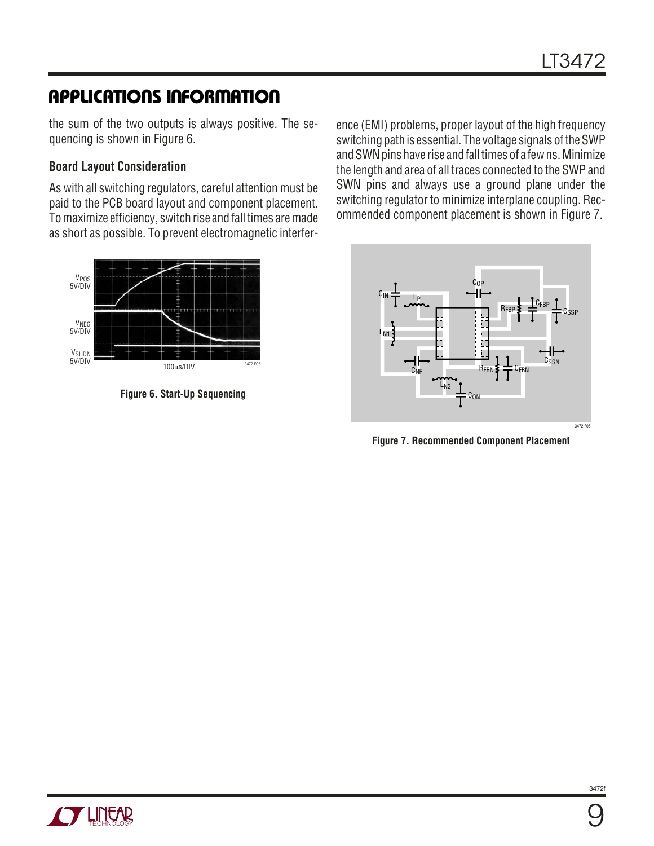the sum of the two outputs is always positive. The sequencing is shown in Figure 6.

#### **Board Layout Consideration**

As with all switching regulators, careful attention must be paid to the PCB board layout and component placement. To maximize efficiency, switch rise and fall times are made as short as possible. To prevent electromagnetic interfer-



**Figure 6. Start-Up Sequencing**

ence (EMI) problems, proper layout of the high frequency switching path is essential. The voltage signals of the SWP and SWN pins have rise and fall times of a few ns. Minimize the length and area of all traces connected to the SWP and SWN pins and always use a ground plane under the switching regulator to minimize interplane coupling. Recommended component placement is shown in Figure 7.



**Figure 7. Recommended Component Placement**

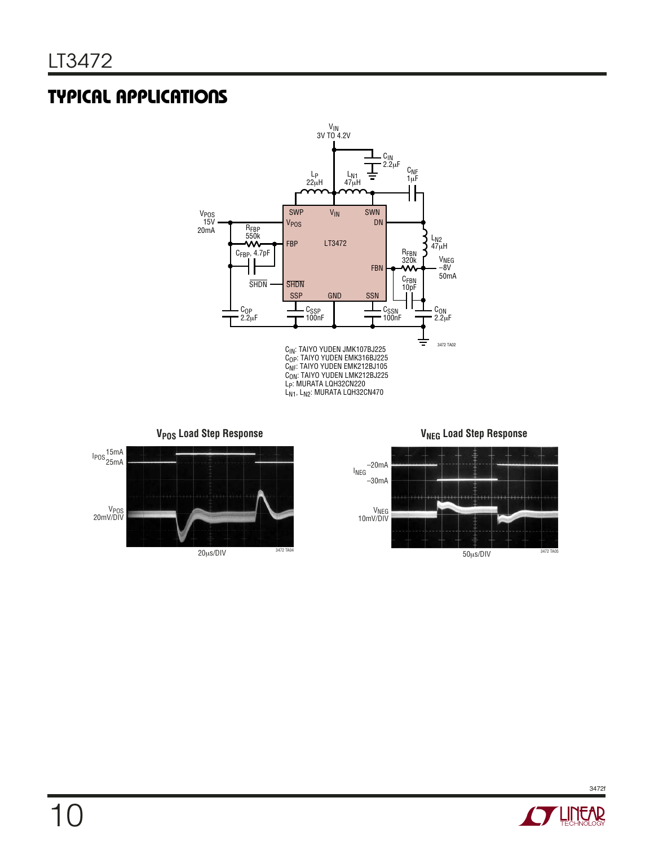# **TYPICAL APPLICATIONS**



V<sub>POS</sub> Load Step Response **V<sub>NEG</sub> Load Step Response** 





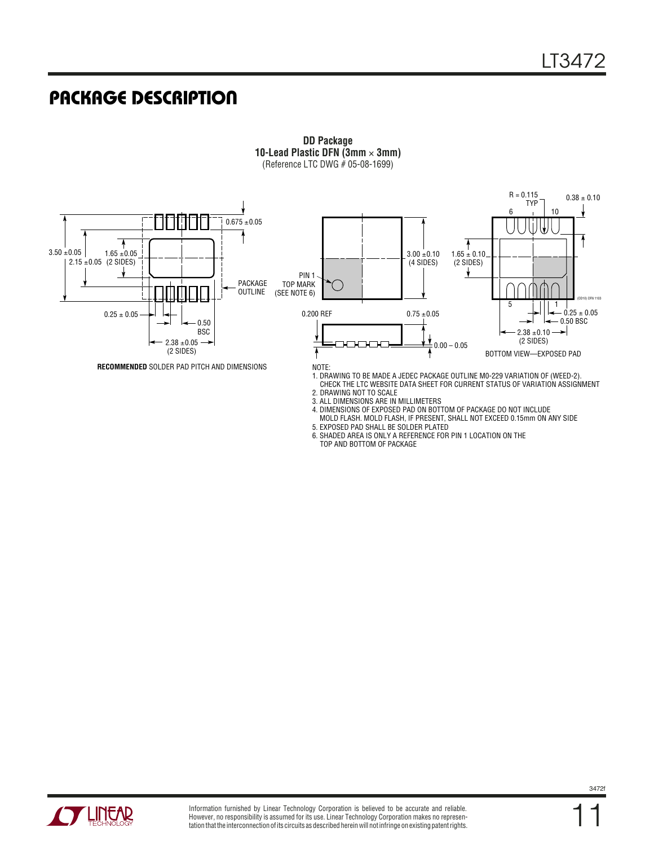### **PACKAGE DESCRIPTION**



3. ALL DIMENSIONS ARE IN MILLIMETERS

5. EXPOSED PAD SHALL BE SOLDER PLATED

TOP AND BOTTOM OF PACKAGE

4. DIMENSIONS OF EXPOSED PAD ON BOTTOM OF PACKAGE DO NOT INCLUDE MOLD FLASH. MOLD FLASH, IF PRESENT, SHALL NOT EXCEED 0.15mm ON ANY SIDE

6. SHADED AREA IS ONLY A REFERENCE FOR PIN 1 LOCATION ON THE

**DD Package 10-Lead Plastic DFN (3mm** × **3mm)** (Reference LTC DWG # 05-08-1699)